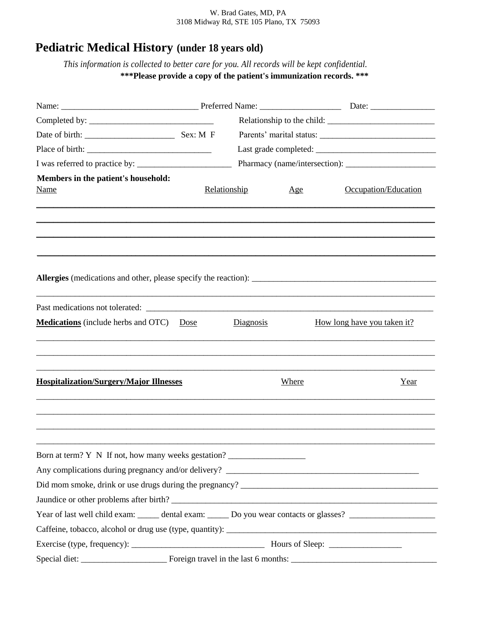## W. Brad Gates, MD, PA 3108 Midway Rd, STE 105 Plano, TX 75093

## **Pediatric Medical History (under 18 years old)**

*This information is collected to better care for you. All records will be kept confidential.* **\*\*\*Please provide a copy of the patient's immunization records. \*\*\***

| Members in the patient's household:                                                                            |              |           |       |                             |  |
|----------------------------------------------------------------------------------------------------------------|--------------|-----------|-------|-----------------------------|--|
| <b>Name</b>                                                                                                    | Relationship |           | Age   | Occupation/Education        |  |
|                                                                                                                |              |           |       |                             |  |
|                                                                                                                |              |           |       |                             |  |
|                                                                                                                |              |           |       |                             |  |
|                                                                                                                |              |           |       |                             |  |
|                                                                                                                |              |           |       |                             |  |
|                                                                                                                |              |           |       |                             |  |
|                                                                                                                |              |           |       |                             |  |
| Medications (include herbs and OTC)                                                                            | Dose         | Diagnosis |       | How long have you taken it? |  |
|                                                                                                                |              |           |       |                             |  |
|                                                                                                                |              |           |       |                             |  |
|                                                                                                                |              |           |       |                             |  |
| <b>Hospitalization/Surgery/Major Illnesses</b>                                                                 |              |           | Where | Year                        |  |
|                                                                                                                |              |           |       |                             |  |
|                                                                                                                |              |           |       |                             |  |
|                                                                                                                |              |           |       |                             |  |
|                                                                                                                |              |           |       |                             |  |
| Born at term? Y N If not, how many weeks gestation?                                                            |              |           |       |                             |  |
|                                                                                                                |              |           |       |                             |  |
|                                                                                                                |              |           |       |                             |  |
|                                                                                                                |              |           |       |                             |  |
| Year of last well child exam: _____ dental exam: _____ Do you wear contacts or glasses? ______________________ |              |           |       |                             |  |
|                                                                                                                |              |           |       |                             |  |
|                                                                                                                |              |           |       |                             |  |
|                                                                                                                |              |           |       |                             |  |